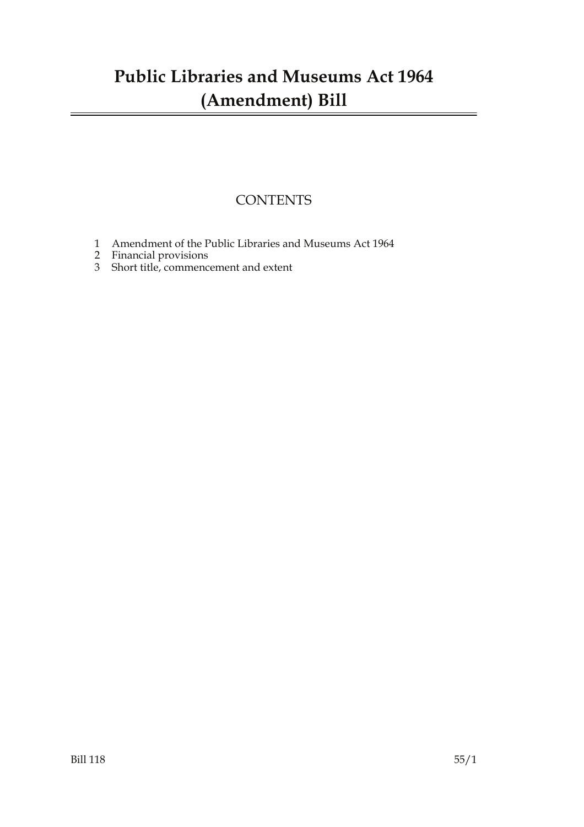### **Public Libraries and Museums Act 1964 (Amendment) Bill**

### **CONTENTS**

- 1 Amendment of the Public Libraries and Museums Act 1964
- 2 Financial provisions
- 3 Short title, commencement and extent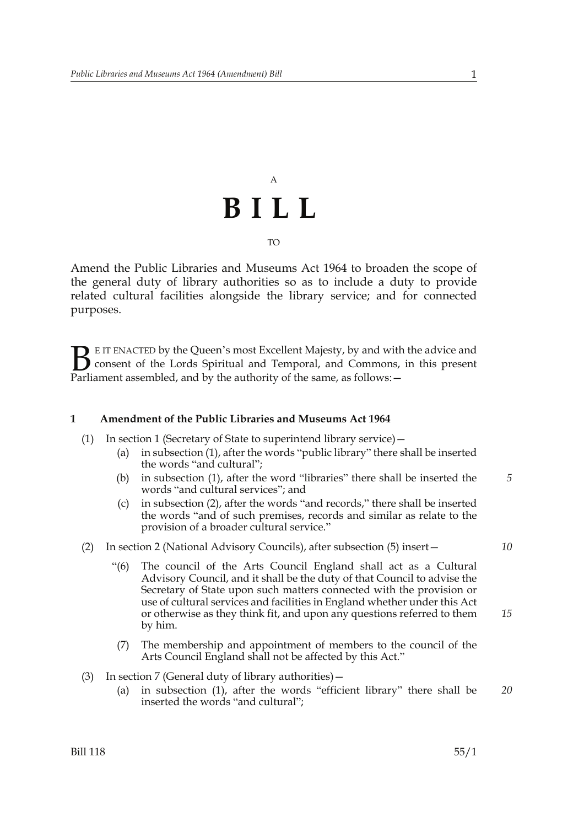## A **BILL** TO

Amend the Public Libraries and Museums Act 1964 to broaden the scope of the general duty of library authorities so as to include a duty to provide related cultural facilities alongside the library service; and for connected purposes.

E IT ENACTED by the Queen's most Excellent Majesty, by and with the advice and consent of the Lords Spiritual and Temporal, and Commons, in this present **B** E IT ENACTED by the Queen's most Excellent Majesty, by and with consent of the Lords Spiritual and Temporal, and Commons, Parliament assembled, and by the authority of the same, as follows:  $-$ 

#### **1 Amendment of the Public Libraries and Museums Act 1964**

- (1) In section 1 (Secretary of State to superintend library service)—
	- (a) in subsection (1), after the words "public library" there shall be inserted the words "and cultural";
	- (b) in subsection (1), after the word "libraries" there shall be inserted the words "and cultural services"; and *5*
	- (c) in subsection (2), after the words "and records," there shall be inserted the words "and of such premises, records and similar as relate to the provision of a broader cultural service."

#### (2) In section 2 (National Advisory Councils), after subsection (5) insert—

- "(6) The council of the Arts Council England shall act as a Cultural Advisory Council, and it shall be the duty of that Council to advise the Secretary of State upon such matters connected with the provision or use of cultural services and facilities in England whether under this Act or otherwise as they think fit, and upon any questions referred to them by him.
- (7) The membership and appointment of members to the council of the Arts Council England shall not be affected by this Act."
- (3) In section 7 (General duty of library authorities)—
	- (a) in subsection (1), after the words "efficient library" there shall be inserted the words "and cultural"; *20*

*15*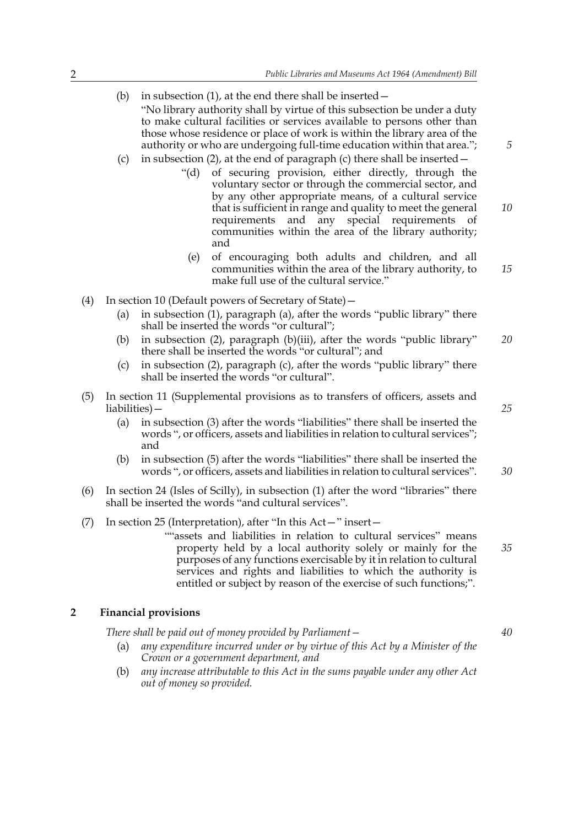- (b) in subsection  $(1)$ , at the end there shall be inserted  $-$ "No library authority shall by virtue of this subsection be under a duty to make cultural facilities or services available to persons other than those whose residence or place of work is within the library area of the authority or who are undergoing full-time education within that area.";
- (c) in subsection (2), at the end of paragraph (c) there shall be inserted—
	- "(d) of securing provision, either directly, through the voluntary sector or through the commercial sector, and by any other appropriate means, of a cultural service that is sufficient in range and quality to meet the general requirements and any special requirements of communities within the area of the library authority; and *10*
		- (e) of encouraging both adults and children, and all communities within the area of the library authority, to make full use of the cultural service." *15*
- (4) In section 10 (Default powers of Secretary of State)—
	- (a) in subsection (1), paragraph (a), after the words "public library" there shall be inserted the words "or cultural";
	- (b) in subsection (2), paragraph (b)(iii), after the words "public library" there shall be inserted the words "or cultural"; and *20*
	- (c) in subsection (2), paragraph (c), after the words "public library" there shall be inserted the words "or cultural".
- (5) In section 11 (Supplemental provisions as to transfers of officers, assets and liabilities)—
	- (a) in subsection (3) after the words "liabilities" there shall be inserted the words ", or officers, assets and liabilities in relation to cultural services"; and
	- (b) in subsection (5) after the words "liabilities" there shall be inserted the words ", or officers, assets and liabilities in relation to cultural services".
- (6) In section 24 (Isles of Scilly), in subsection (1) after the word "libraries" there shall be inserted the words "and cultural services".
- (7) In section 25 (Interpretation), after "In this Act—" insert—
	- ""assets and liabilities in relation to cultural services" means property held by a local authority solely or mainly for the purposes of any functions exercisable by it in relation to cultural services and rights and liabilities to which the authority is entitled or subject by reason of the exercise of such functions;".

#### **2 Financial provisions**

*There shall be paid out of money provided by Parliament—*

- (a) *any expenditure incurred under or by virtue of this Act by a Minister of the Crown or a government department, and*
- (b) *any increase attributable to this Act in the sums payable under any other Act out of money so provided.*

*5*

*25*

*30*

*40*

*35*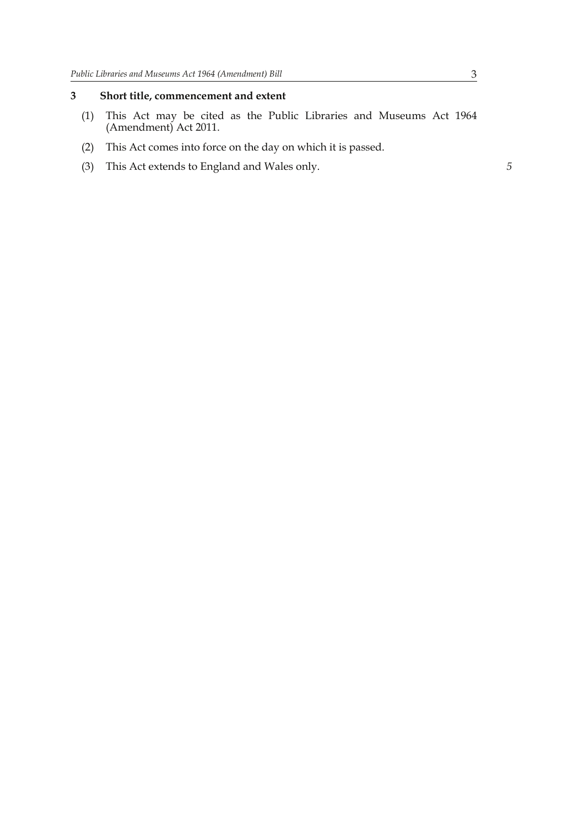#### **3 Short title, commencement and extent**

- (1) This Act may be cited as the Public Libraries and Museums Act 1964 (Amendment) Act 2011.
- (2) This Act comes into force on the day on which it is passed.
- (3) This Act extends to England and Wales only. *5*